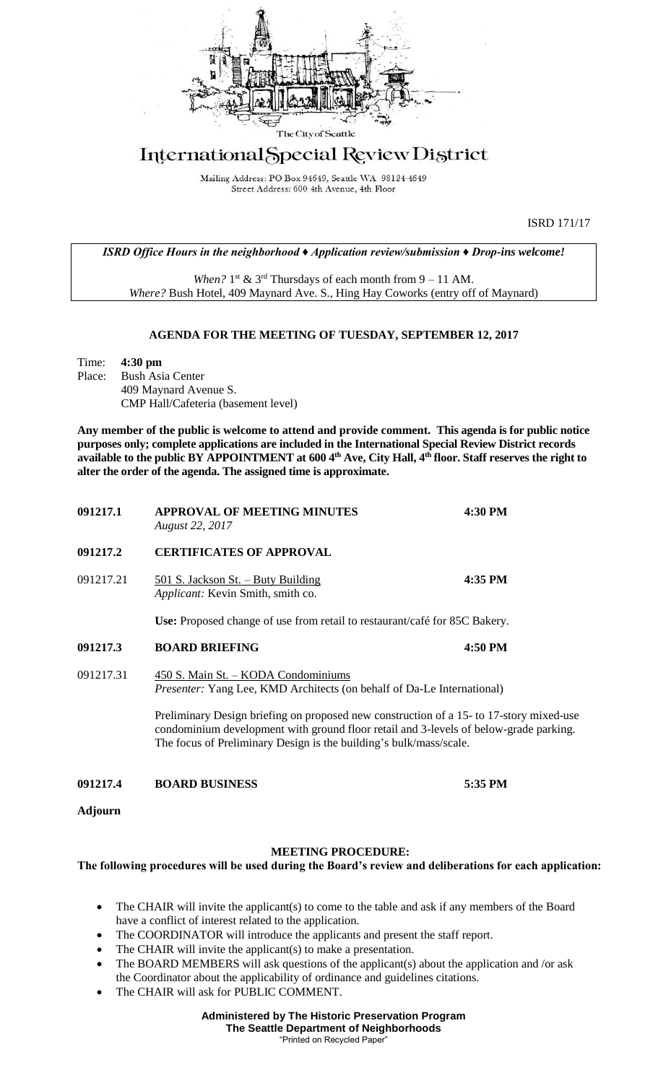

## International Special Review District

Mailing Address: PO Box 94649, Seattle WA 98124-4649 Street Address: 600 4th Avenue, 4th Floor

ISRD 171/17

*ISRD Office Hours in the neighborhood ♦ Application review/submission ♦ Drop-ins welcome!*

When?  $1<sup>st</sup>$  &  $3<sup>rd</sup>$  Thursdays of each month from  $9 - 11$  AM. *Where?* Bush Hotel, 409 Maynard Ave. S., Hing Hay Coworks (entry off of Maynard)

## **AGENDA FOR THE MEETING OF TUESDAY, SEPTEMBER 12, 2017**

Time: **4:30 pm** Place: Bush Asia Center 409 Maynard Avenue S. CMP Hall/Cafeteria (basement level)

**Any member of the public is welcome to attend and provide comment. This agenda is for public notice purposes only; complete applications are included in the International Special Review District records available to the public BY APPOINTMENT at 600 4th Ave, City Hall, 4th floor. Staff reserves the right to alter the order of the agenda. The assigned time is approximate.** 

| 091217.1       | <b>APPROVAL OF MEETING MINUTES</b><br><b>August 22, 2017</b>                                                                                                                                                                                           | 4:30 PM |
|----------------|--------------------------------------------------------------------------------------------------------------------------------------------------------------------------------------------------------------------------------------------------------|---------|
| 091217.2       | <b>CERTIFICATES OF APPROVAL</b>                                                                                                                                                                                                                        |         |
| 091217.21      | <u> 501 S. Jackson St. – Buty Building</u><br>Applicant: Kevin Smith, smith co.                                                                                                                                                                        | 4:35 PM |
|                | Use: Proposed change of use from retail to restaurant/café for 85C Bakery.                                                                                                                                                                             |         |
| 091217.3       | <b>BOARD BRIEFING</b>                                                                                                                                                                                                                                  | 4:50 PM |
| 091217.31      | 450 S. Main St. - KODA Condominiums<br>Presenter: Yang Lee, KMD Architects (on behalf of Da-Le International)                                                                                                                                          |         |
|                | Preliminary Design briefing on proposed new construction of a 15- to 17-story mixed-use<br>condominium development with ground floor retail and 3-levels of below-grade parking.<br>The focus of Preliminary Design is the building's bulk/mass/scale. |         |
| 091217.4       | <b>BOARD BUSINESS</b>                                                                                                                                                                                                                                  | 5:35 PM |
| <b>Adjourn</b> |                                                                                                                                                                                                                                                        |         |

## **MEETING PROCEDURE:**

**The following procedures will be used during the Board's review and deliberations for each application:** 

- The CHAIR will invite the applicant(s) to come to the table and ask if any members of the Board have a conflict of interest related to the application.
- The COORDINATOR will introduce the applicants and present the staff report.
- The CHAIR will invite the applicant(s) to make a presentation.
- The BOARD MEMBERS will ask questions of the applicant(s) about the application and /or ask the Coordinator about the applicability of ordinance and guidelines citations.
- The CHAIR will ask for PUBLIC COMMENT.